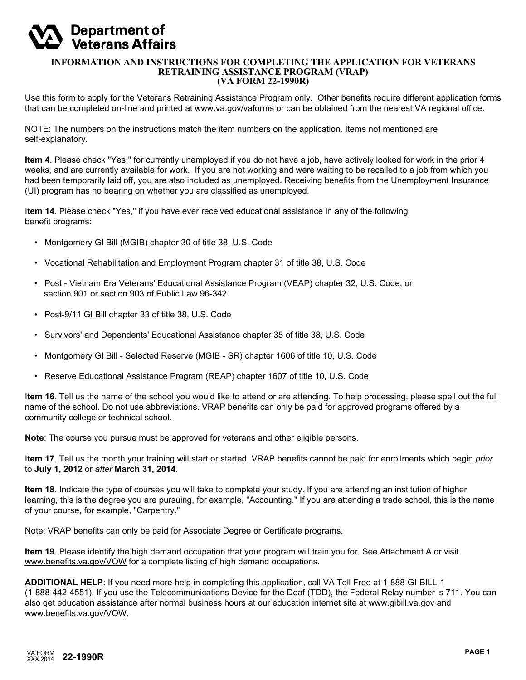# **Department of<br>Veterans Affairs**

#### **INFORMATION AND INSTRUCTIONS FOR COMPLETING THE APPLICATION FOR VETERANS RETRAINING ASSISTANCE PROGRAM (VRAP) (VA FORM 22-1990R)**

Use this form to apply for the Veterans Retraining Assistance Program only. Other benefits require different application forms that can be completed on-line and printed at www.va.gov/vaforms or can be obtained from the nearest VA regional office.

NOTE: The numbers on the instructions match the item numbers on the application. Items not mentioned are self-explanatory.

**Item 4**. Please check "Yes," for currently unemployed if you do not have a job, have actively looked for work in the prior 4 weeks, and are currently available for work. If you are not working and were waiting to be recalled to a job from which you had been temporarily laid off, you are also included as unemployed. Receiving benefits from the Unemployment Insurance (UI) program has no bearing on whether you are classified as unemployed.

I**tem 14**. Please check "Yes," if you have ever received educational assistance in any of the following benefit programs:

- Montgomery GI Bill (MGIB) chapter 30 of title 38, U.S. Code
- Vocational Rehabilitation and Employment Program chapter 31 of title 38, U.S. Code
- Post Vietnam Era Veterans' Educational Assistance Program (VEAP) chapter 32, U.S. Code, or section 901 or section 903 of Public Law 96-342
- Post-9/11 GI Bill chapter 33 of title 38, U.S. Code
- Survivors' and Dependents' Educational Assistance chapter 35 of title 38, U.S. Code
- Montgomery GI Bill Selected Reserve (MGIB SR) chapter 1606 of title 10, U.S. Code
- Reserve Educational Assistance Program (REAP) chapter 1607 of title 10, U.S. Code

I**tem 16**. Tell us the name of the school you would like to attend or are attending. To help processing, please spell out the full name of the school. Do not use abbreviations. VRAP benefits can only be paid for approved programs offered by a community college or technical school.

**Note**: The course you pursue must be approved for veterans and other eligible persons.

I**tem 17**. Tell us the month your training will start or started. VRAP benefits cannot be paid for enrollments which begin *prior* to **July 1, 2012** or *after* **March 31, 2014**.

**Item 18**. Indicate the type of courses you will take to complete your study. If you are attending an institution of higher learning, this is the degree you are pursuing, for example, "Accounting." If you are attending a trade school, this is the name of your course, for example, "Carpentry."

Note: VRAP benefits can only be paid for Associate Degree or Certificate programs.

**Item 19**. Please identify the high demand occupation that your program will train you for. See Attachment A or visit www.benefits.va.gov/VOW for a complete listing of high demand occupations.

**ADDITIONAL HELP**: If you need more help in completing this application, call VA Toll Free at 1-888-GI-BILL-1 (1-888-442-4551). If you use the Telecommunications Device for the Deaf (TDD), the Federal Relay number is 711. You can also get education assistance after normal business hours at our education internet site at www.gibill.va.gov and www.benefits.va.gov/VOW.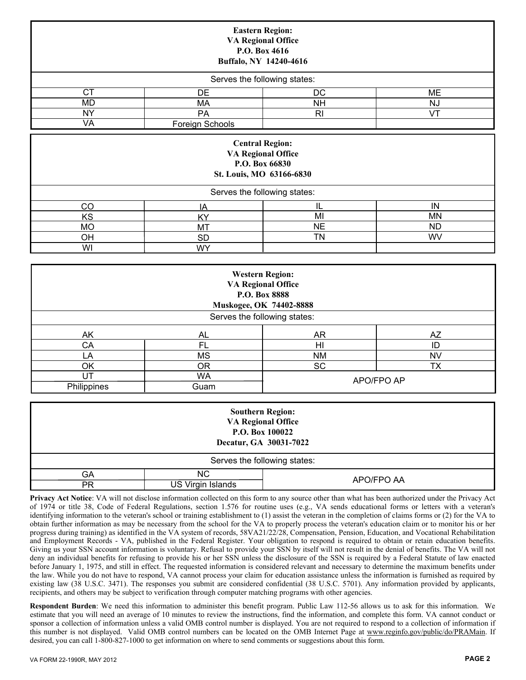|                 |                 | <b>Eastern Region:</b><br><b>VA Regional Office</b><br>P.O. Box 4616<br>Buffalo, NY 14240-4616    |           |
|-----------------|-----------------|---------------------------------------------------------------------------------------------------|-----------|
|                 |                 | Serves the following states:                                                                      |           |
| <b>CT</b>       | DE              | DC                                                                                                | <b>ME</b> |
| MD              | MA              | <b>NH</b>                                                                                         | <b>NJ</b> |
| <b>NY</b>       | <b>PA</b>       | R <sub>l</sub>                                                                                    | VT        |
| VA              | Foreign Schools |                                                                                                   |           |
|                 |                 | <b>Central Region:</b><br><b>VA Regional Office</b><br>P.O. Box 66830<br>St. Louis, MO 63166-6830 |           |
|                 |                 | Serves the following states:                                                                      |           |
| CO              | IA              | IL                                                                                                | IN        |
| KS              | KY              | MI                                                                                                | <b>MN</b> |
| <b>MO</b>       | <b>MT</b>       | <b>NE</b>                                                                                         | <b>ND</b> |
| OH<br><b>SD</b> |                 | <b>TN</b>                                                                                         | WV        |

|             |                | <b>Western Region:</b><br><b>VA Regional Office</b><br>P.O. Box 8888<br>Muskogee, OK 74402-8888 |           |
|-------------|----------------|-------------------------------------------------------------------------------------------------|-----------|
|             |                | Serves the following states:                                                                    |           |
| AK          | AL.            | <b>AR</b>                                                                                       | AZ        |
| CA          | <b>FL</b>      | HI                                                                                              | ID        |
| LA          | <b>MS</b>      | ΝM                                                                                              | <b>NV</b> |
| OK          | 0 <sub>R</sub> | SC                                                                                              | <b>TX</b> |
| UT.         | <b>WA</b>      | APO/FPO AP                                                                                      |           |
| Philippines | Guam           |                                                                                                 |           |

**WY** 

|                              |                   | <b>Southern Region:</b><br><b>VA Regional Office</b><br>P.O. Box 100022<br>Decatur, GA 30031-7022 |  |  |
|------------------------------|-------------------|---------------------------------------------------------------------------------------------------|--|--|
| Serves the following states: |                   |                                                                                                   |  |  |
| GA                           | NС                | APO/FPO AA                                                                                        |  |  |
| РR                           | US Virgin Islands |                                                                                                   |  |  |

**Privacy Act Notice**: VA will not disclose information collected on this form to any source other than what has been authorized under the Privacy Act of 1974 or title 38, Code of Federal Regulations, section 1.576 for routine uses (e.g., VA sends educational forms or letters with a veteran's identifying information to the veteran's school or training establishment to (1) assist the veteran in the completion of claims forms or (2) for the VA to obtain further information as may be necessary from the school for the VA to properly process the veteran's education claim or to monitor his or her progress during training) as identified in the VA system of records, 58VA21/22/28, Compensation, Pension, Education, and Vocational Rehabilitation and Employment Records - VA, published in the Federal Register. Your obligation to respond is required to obtain or retain education benefits. Giving us your SSN account information is voluntary. Refusal to provide your SSN by itself will not result in the denial of benefits. The VA will not deny an individual benefits for refusing to provide his or her SSN unless the disclosure of the SSN is required by a Federal Statute of law enacted before January 1, 1975, and still in effect. The requested information is considered relevant and necessary to determine the maximum benefits under the law. While you do not have to respond, VA cannot process your claim for education assistance unless the information is furnished as required by existing law (38 U.S.C. 3471). The responses you submit are considered confidential (38 U.S.C. 5701). Any information provided by applicants, recipients, and others may be subject to verification through computer matching programs with other agencies.

**Respondent Burden**: We need this information to administer this benefit program. Public Law 112-56 allows us to ask for this information. We estimate that you will need an average of 10 minutes to review the instructions, find the information, and complete this form. VA cannot conduct or sponsor a collection of information unless a valid OMB control number is displayed. You are not required to respond to a collection of information if this number is not displayed. Valid OMB control numbers can be located on the OMB Internet Page at www.reginfo.gov/public/do/PRAMain. If desired, you can call 1-800-827-1000 to get information on where to send comments or suggestions about this form.

WI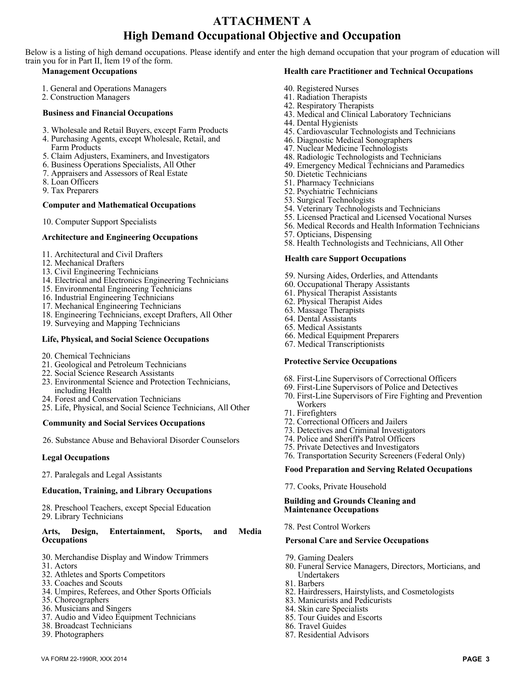# **ATTACHMENT A High Demand Occupational Objective and Occupation**

Below is a listing of high demand occupations. Please identify and enter the high demand occupation that your program of education will train you for in Part II, Item 19 of the form.

#### **Management Occupations**

- 1. General and Operations Managers
- 2. Construction Managers

#### **Business and Financial Occupations**

- 3. Wholesale and Retail Buyers, except Farm Products
- 4. Purchasing Agents, except Wholesale, Retail, and Farm Products
- 5. Claim Adjusters, Examiners, and Investigators
- 6. Business Operations Specialists, All Other
- 7. Appraisers and Assessors of Real Estate
- 8. Loan Officers
- 9. Tax Preparers

#### **Computer and Mathematical Occupations**

10. Computer Support Specialists

# **A rchitecture and Engineering Occupations**

- 11. Architectural and Civil Drafters
- 12. Mechanical Drafters
- 13. Civil Engineering Technicians
- 14. Electrical and Electronics Engineering Technicians
- 15. Environmental Engineering Technicians
- 16. Industrial Engineering Technicians
- 17. Mechanical Engineering Technicians
- 18. Engineering Technicians, except Drafters, All Other
- 19. Surveying and Mapping Technicians

#### **Life, Physical, and Social Science Occupations**

- 20. Chemical Technicians
- 21. Geological and Petroleum Technicians
- 22. Social Science Research Assistants
- 23. Environmental Science and Protection Technicians, including Health
- 24. Forest and Conservation Technicians
- 25. Life, Physical, and Social Science Technicians, All Other

#### **Community and Social Services Occupations**

26. Substance Abuse and Behavioral Disorder Counselors

#### **L egal Occupations**

27. Paralegals and Legal Assistants

#### l **Education, Training, and Library Occupations**

28. Preschool Teachers, except Special Education 29. Library Technicians

#### Arts,  $\Delta$  **Physical R Entertainment, Sports, and Media Occupations**

- 30. Merchandise Display and Window Trimmers
- 31. Actors
- 32. Athletes and Sports Competitors
- 33. Coaches and Scouts
- 34. Umpires, Referees, and Other Sports Officials
- 35. Choreographers
- 36. Musicians and Singers
- 37. Audio and Video Equipment Technicians
- 38. Broadcast Technicians
- 39. Photographers

#### **Health care Practitioner and Technical Occupations**

- 40. Registered Nurses
- 41. Radiation Therapists
- 42. Respiratory Therapists
- 43. Medical and Clinical Laboratory Technicians
- 44. Dental Hygienists
- 45. Cardiovascular Technologists and Technicians
- 46. Diagnostic Medical Sonographers
- 47. Nuclear Medicine Technologists
- 48. Radiologic Technologists and Technicians
- 49. Emergency Medical Technicians and Paramedics
- 50. Dietetic Technicians
- 51. Pharmacy Technicians
- 52. Psychiatric Technicians
- 53. Surgical Technologists
- 54. Veterinary Technologists and Technicians
- 55. Licensed Practical and Licensed Vocational Nurses
- 56. Medical Records and Health Information Technicians
- 57. Opticians, Dispensing
- 58. Health Technologists and Technicians, All Other

#### **Health care Support Occupations**

- 59. Nursing Aides, Orderlies, and Attendants
- 60. Occupational Therapy Assistants
- 61. Physical Therapist Assistants
- 62. Physical Therapist Aides
- 63. Massage Therapists
- 64. Dental Assistants
- 65. Medical Assistants
- 66. Medical Equipment Preparers
- 67. Medical Transcriptionists

#### **Protective Service Occupations**

- 68. First-Line Supervisors of Correctional Officers
- 69. First-Line Supervisors of Police and Detectives
- 70. First-Line Supervisors of Fire Fighting and Prevention Workers
- 71. Firefighters
- 72. Correctional Officers and Jailers
- 73. Detectives and Criminal Investigators
- 74. Police and Sheriff's Patrol Officers
- 75. Private Detectives and Investigators
- 76. Transportation Security Screeners (Federal Only)

#### **Food Preparation and Serving Related Occupations**

77. Cooks, Private Household

#### **Building and Grounds Cleaning and Maintenance Occupations**

78. Pest Control Workers

#### **Personal Care and Service Occupations**

79. Gaming Dealers

86. Travel Guides 87. Residential Advisors

- 80. Funeral Service Managers, Directors, Morticians, and Undertakers
- 81. Barbers

VA FORM 22-1990R, XXX 2014 **PAGE 3**

- 82. Hairdressers, Hairstylists, and Cosmetologists
- 83. Manicurists and Pedicurists
- 84. Skin care Specialists 85. Tour Guides and Escorts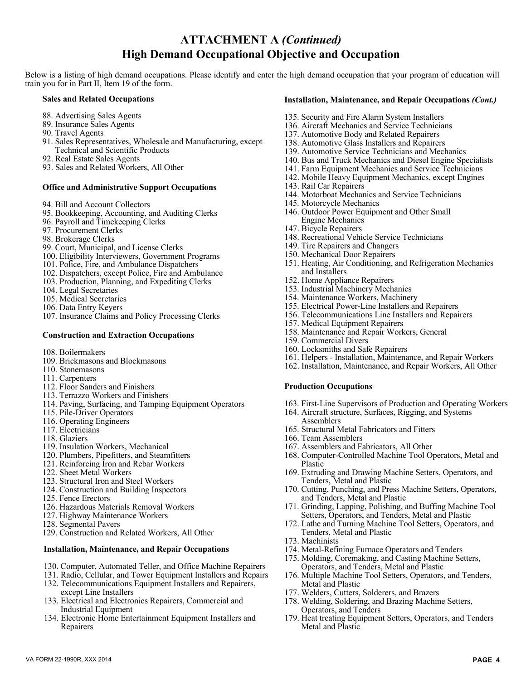### **ATTACHMENT A** *(Continued)* **High Demand Occupational Objective and Occupation**

Below is a listing of high demand occupations. Please identify and enter the high demand occupation that your program of education will train you for in Part II, Item 19 of the form.

#### **Sales and Related Occupations**

- 88. Advertising Sales Agents
- 89. Insurance Sales Agents
- 90. Travel Agents
- 91. Sales Representatives, Wholesale and Manufacturing, except Technical and Scientific Products
- 92. Real Estate Sales Agents
- 93. Sales and Related Workers, All Other

#### **Office and Administrative Support Occupations**

- 94. Bill and Account Collectors
- 95. Bookkeeping, Accounting, and Auditing Clerks
- 96. Payroll and Timekeeping Clerks
- 97. Procurement Clerks
- 98. Brokerage Clerks
- 99. Court, Municipal, and License Clerks
- 100. Eligibility Interviewers, Government Programs
- 101. Police, Fire, and Ambulance Dispatchers
- 102. Dispatchers, except Police, Fire and Ambulance
- 103. Production, Planning, and Expediting Clerks
- 104. Legal Secretaries
- 105. Medical Secretaries
- 106. Data Entry Keyers
- 107. Insurance Claims and Policy Processing Clerks

#### **Construction and Extraction Occupations**

- 108. Boilermakers
- 109. Brickmasons and Blockmasons
- 110. Stonemasons
- 111. Carpenters
- 112. Floor Sanders and Finishers
- 113. Terrazzo Workers and Finishers
- 114. Paving, Surfacing, and Tamping Equipment Operators
- 115. Pile-Driver Operators
- 116. Operating Engineers
- 117. Electricians
- 118. Glaziers
- 119. Insulation Workers, Mechanical
- 120. Plumbers, Pipefitters, and Steamfitters
- 121. Reinforcing Iron and Rebar Workers
- 122. Sheet Metal Workers
- 123. Structural Iron and Steel Workers
- 124. Construction and Building Inspectors
- 125. Fence Erectors
- 126. Hazardous Materials Removal Workers
- 127. Highway Maintenance Workers
- 128. Segmental Pavers
- 129. Construction and Related Workers, All Other

#### **Installation, Maintenance, and Repair Occupations**

- 130. Computer, Automated Teller, and Office Machine Repairers
- 131. Radio, Cellular, and Tower Equipment Installers and Repairs
- 132. Telecommunications Equipment Installers and Repairers, except Line Installers
- 133. Electrical and Electronics Repairers, Commercial and Industrial Equipment
- 134. Electronic Home Entertainment Equipment Installers and Repairers

#### **Installation, Maintenance, and Repair Occupations** *(Cont.)*

- 135. Security and Fire Alarm System Installers
- 136. Aircraft Mechanics and Service Technicians
- 137. Automotive Body and Related Repairers
- 138. Automotive Glass Installers and Repairers
- 139. Automotive Service Technicians and Mechanics
- 140. Bus and Truck Mechanics and Diesel Engine Specialists
- 141. Farm Equipment Mechanics and Service Technicians
- 142. Mobile Heavy Equipment Mechanics, except Engines
- 143. Rail Car Repairers
- 144. Motorboat Mechanics and Service Technicians
- 145. Motorcycle Mechanics
- 146. Outdoor Power Equipment and Other Small Engine Mechanics
- 147. Bicycle Repairers
- 148. Recreational Vehicle Service Technicians
- 149. Tire Repairers and Changers
- 150. Mechanical Door Repairers
- 151. Heating, Air Conditioning, and Refrigeration Mechanics and Installers
- 152. Home Appliance Repairers
- 153. Industrial Machinery Mechanics
- 154. Maintenance Workers, Machinery
- 155. Electrical Power-Line Installers and Repairers
- 156. Telecommunications Line Installers and Repairers
- 157. Medical Equipment Repairers
- 158. Maintenance and Repair Workers, General
- 159. Commercial Divers
- 160. Locksmiths and Safe Repairers
- 161. Helpers Installation, Maintenance, and Repair Workers
- 162. Installation, Maintenance, and Repair Workers, All Other

#### **Production Occupations**

- 163. First-Line Supervisors of Production and Operating Workers
- 164. Aircraft structure, Surfaces, Rigging, and Systems Assemblers
- 165. Structural Metal Fabricators and Fitters
- 166. Team Assemblers
- 167. Assemblers and Fabricators, All Other
- 168. Computer-Controlled Machine Tool Operators, Metal and Plastic
- 169. Extruding and Drawing Machine Setters, Operators, and Tenders, Metal and Plastic
- 170. Cutting, Punching, and Press Machine Setters, Operators, and Tenders, Metal and Plastic
- 171. Grinding, Lapping, Polishing, and Buffing Machine Tool Setters, Operators, and Tenders, Metal and Plastic
- 172. Lathe and Turning Machine Tool Setters, Operators, and Tenders, Metal and Plastic
- 173. Machinists

VA FORM 22-1990R, XXX 2014 **PAGE 4**

- 174. Metal-Refining Furnace Operators and Tenders
- 175. Molding, Coremaking, and Casting Machine Setters, Operators, and Tenders, Metal and Plastic
- 176. Multiple Machine Tool Setters, Operators, and Tenders, Metal and Plastic
- 177. Welders, Cutters, Solderers, and Brazers
- 178. Welding, Soldering, and Brazing Machine Setters, Operators, and Tenders
- 179. Heat treating Equipment Setters, Operators, and Tenders Metal and Plastic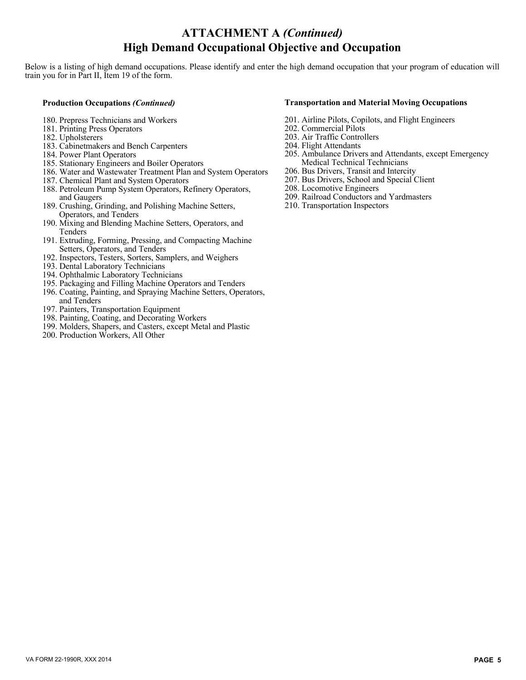## **ATTACHMENT A** *(Continued)* **High Demand Occupational Objective and Occupation**

Below is a listing of high demand occupations. Please identify and enter the high demand occupation that your program of education will train you for in Part II, Item 19 of the form.

#### **Production Occupations** *(Continued)*

- 180. Prepress Technicians and Workers
- 181. Printing Press Operators
- 182. Upholsterers
- 183. Cabinetmakers and Bench Carpenters
- 184. Power Plant Operators
- 185. Stationary Engineers and Boiler Operators
- 186. Water and Wastewater Treatment Plan and System Operators
- 187. Chemical Plant and System Operators
- 188. Petroleum Pump System Operators, Refinery Operators, and Gaugers
- 189. Crushing, Grinding, and Polishing Machine Setters, Operators, and Tenders
- 190. Mixing and Blending Machine Setters, Operators, and **Tenders**
- 191. Extruding, Forming, Pressing, and Compacting Machine Setters, Operators, and Tenders
- 192. Inspectors, Testers, Sorters, Samplers, and Weighers
- 193. Dental Laboratory Technicians
- 194. Ophthalmic Laboratory Technicians
- 195. Packaging and Filling Machine Operators and Tenders
- 196. Coating, Painting, and Spraying Machine Setters, Operators, and Tenders
- 197. Painters, Transportation Equipment
- 198. Painting, Coating, and Decorating Workers
- 199. Molders, Shapers, and Casters, except Metal and Plastic
- 200. Production Workers, All Other

#### **Transportation and Material Moving Occupations**

- 201. Airline Pilots, Copilots, and Flight Engineers
- 202. Commercial Pilots
- 203. Air Traffic Controllers
- 204. Flight Attendants
- 205. Ambulance Drivers and Attendants, except Emergency Medical Technical Technicians
- 206. Bus Drivers, Transit and Intercity
- 207. Bus Drivers, School and Special Client
- 208. Locomotive Engineers
- 209. Railroad Conductors and Yardmasters
- 210. Transportation Inspectors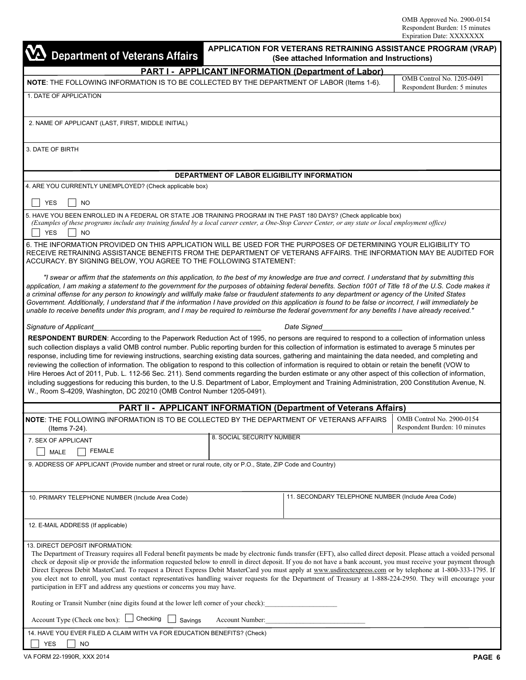| <b>Department of Veterans Affairs</b>                                                                                                                                                                                                                                                                                                                                                                                                                                                                                                                                                                                                                                                                                                                                                                                                                                                                                                                                                                               |                                             | APPLICATION FOR VETERANS RETRAINING ASSISTANCE PROGRAM (VRAP)<br>(See attached Information and Instructions) |                                                            |
|---------------------------------------------------------------------------------------------------------------------------------------------------------------------------------------------------------------------------------------------------------------------------------------------------------------------------------------------------------------------------------------------------------------------------------------------------------------------------------------------------------------------------------------------------------------------------------------------------------------------------------------------------------------------------------------------------------------------------------------------------------------------------------------------------------------------------------------------------------------------------------------------------------------------------------------------------------------------------------------------------------------------|---------------------------------------------|--------------------------------------------------------------------------------------------------------------|------------------------------------------------------------|
|                                                                                                                                                                                                                                                                                                                                                                                                                                                                                                                                                                                                                                                                                                                                                                                                                                                                                                                                                                                                                     |                                             | <b>PART I - APPLICANT INFORMATION (Department of Labor)</b>                                                  |                                                            |
| NOTE: THE FOLLOWING INFORMATION IS TO BE COLLECTED BY THE DEPARTMENT OF LABOR (Items 1-6).                                                                                                                                                                                                                                                                                                                                                                                                                                                                                                                                                                                                                                                                                                                                                                                                                                                                                                                          |                                             |                                                                                                              | OMB Control No. 1205-0491<br>Respondent Burden: 5 minutes  |
| 1. DATE OF APPLICATION                                                                                                                                                                                                                                                                                                                                                                                                                                                                                                                                                                                                                                                                                                                                                                                                                                                                                                                                                                                              |                                             |                                                                                                              |                                                            |
| 2. NAME OF APPLICANT (LAST, FIRST, MIDDLE INITIAL)                                                                                                                                                                                                                                                                                                                                                                                                                                                                                                                                                                                                                                                                                                                                                                                                                                                                                                                                                                  |                                             |                                                                                                              |                                                            |
| 3. DATE OF BIRTH                                                                                                                                                                                                                                                                                                                                                                                                                                                                                                                                                                                                                                                                                                                                                                                                                                                                                                                                                                                                    |                                             |                                                                                                              |                                                            |
|                                                                                                                                                                                                                                                                                                                                                                                                                                                                                                                                                                                                                                                                                                                                                                                                                                                                                                                                                                                                                     | DEPARTMENT OF LABOR ELIGIBILITY INFORMATION |                                                                                                              |                                                            |
| 4. ARE YOU CURRENTLY UNEMPLOYED? (Check applicable box)                                                                                                                                                                                                                                                                                                                                                                                                                                                                                                                                                                                                                                                                                                                                                                                                                                                                                                                                                             |                                             |                                                                                                              |                                                            |
| <b>YES</b><br><b>NO</b>                                                                                                                                                                                                                                                                                                                                                                                                                                                                                                                                                                                                                                                                                                                                                                                                                                                                                                                                                                                             |                                             |                                                                                                              |                                                            |
| 5. HAVE YOU BEEN ENROLLED IN A FEDERAL OR STATE JOB TRAINING PROGRAM IN THE PAST 180 DAYS? (Check applicable box)<br>(Examples of these programs include any training funded by a local career center, a One-Stop Career Center, or any state or local employment office)<br><b>YES</b><br><b>NO</b>                                                                                                                                                                                                                                                                                                                                                                                                                                                                                                                                                                                                                                                                                                                |                                             |                                                                                                              |                                                            |
| 6. THE INFORMATION PROVIDED ON THIS APPLICATION WILL BE USED FOR THE PURPOSES OF DETERMINING YOUR ELIGIBILITY TO<br>RECEIVE RETRAINING ASSISTANCE BENEFITS FROM THE DEPARTMENT OF VETERANS AFFAIRS. THE INFORMATION MAY BE AUDITED FOR<br>ACCURACY. BY SIGNING BELOW, YOU AGREE TO THE FOLLOWING STATEMENT:                                                                                                                                                                                                                                                                                                                                                                                                                                                                                                                                                                                                                                                                                                         |                                             |                                                                                                              |                                                            |
| "I swear or affirm that the statements on this application, to the best of my knowledge are true and correct. I understand that by submitting this<br>application, I am making a statement to the government for the purposes of obtaining federal benefits. Section 1001 of Title 18 of the U.S. Code makes it<br>a criminal offense for any person to knowingly and willfully make false or fraudulent statements to any department or agency of the United States<br>Government. Additionally, I understand that if the information I have provided on this application is found to be false or incorrect, I will immediately be<br>unable to receive benefits under this program, and I may be required to reimburse the federal government for any benefits I have already received."                                                                                                                                                                                                                          |                                             |                                                                                                              |                                                            |
| Signature of Applicant                                                                                                                                                                                                                                                                                                                                                                                                                                                                                                                                                                                                                                                                                                                                                                                                                                                                                                                                                                                              |                                             | Date Signed                                                                                                  |                                                            |
| RESPONDENT BURDEN: According to the Paperwork Reduction Act of 1995, no persons are required to respond to a collection of information unless<br>such collection displays a valid OMB control number. Public reporting burden for this collection of information is estimated to average 5 minutes per<br>response, including time for reviewing instructions, searching existing data sources, gathering and maintaining the data needed, and completing and<br>reviewing the collection of information. The obligation to respond to this collection of information is required to obtain or retain the benefit (VOW to<br>Hire Heroes Act of 2011, Pub. L. 112-56 Sec. 211). Send comments regarding the burden estimate or any other aspect of this collection of information,<br>including suggestions for reducing this burden, to the U.S. Department of Labor, Employment and Training Administration, 200 Constitution Avenue, N.<br>W., Room S-4209, Washington, DC 20210 (OMB Control Number 1205-0491). |                                             |                                                                                                              |                                                            |
|                                                                                                                                                                                                                                                                                                                                                                                                                                                                                                                                                                                                                                                                                                                                                                                                                                                                                                                                                                                                                     |                                             | <b>PART II - APPLICANT INFORMATION (Department of Veterans Affairs)</b>                                      |                                                            |
| NOTE: THE FOLLOWING INFORMATION IS TO BE COLLECTED BY THE DEPARTMENT OF VETERANS AFFAIRS<br>(Items 7-24).                                                                                                                                                                                                                                                                                                                                                                                                                                                                                                                                                                                                                                                                                                                                                                                                                                                                                                           |                                             |                                                                                                              | OMB Control No. 2900-0154<br>Respondent Burden: 10 minutes |
| 7. SEX OF APPLICANT                                                                                                                                                                                                                                                                                                                                                                                                                                                                                                                                                                                                                                                                                                                                                                                                                                                                                                                                                                                                 | 8. SOCIAL SECURITY NUMBER                   |                                                                                                              |                                                            |
| <b>FEMALE</b><br>MALE                                                                                                                                                                                                                                                                                                                                                                                                                                                                                                                                                                                                                                                                                                                                                                                                                                                                                                                                                                                               |                                             |                                                                                                              |                                                            |
| 9. ADDRESS OF APPLICANT (Provide number and street or rural route, city or P.O., State, ZIP Code and Country)                                                                                                                                                                                                                                                                                                                                                                                                                                                                                                                                                                                                                                                                                                                                                                                                                                                                                                       |                                             |                                                                                                              |                                                            |
| 10. PRIMARY TELEPHONE NUMBER (Include Area Code)                                                                                                                                                                                                                                                                                                                                                                                                                                                                                                                                                                                                                                                                                                                                                                                                                                                                                                                                                                    |                                             | 11. SECONDARY TELEPHONE NUMBER (Include Area Code)                                                           |                                                            |
| 12. E-MAIL ADDRESS (If applicable)                                                                                                                                                                                                                                                                                                                                                                                                                                                                                                                                                                                                                                                                                                                                                                                                                                                                                                                                                                                  |                                             |                                                                                                              |                                                            |
| 13. DIRECT DEPOSIT INFORMATION:<br>The Department of Treasury requires all Federal benefit payments be made by electronic funds transfer (EFT), also called direct deposit. Please attach a voided personal<br>check or deposit slip or provide the information requested below to enroll in direct deposit. If you do not have a bank account, you must receive your payment through<br>Direct Express Debit MasterCard. To request a Direct Express Debit MasterCard you must apply at www.usdirectexpress.com or by telephone at 1-800-333-1795. If<br>you elect not to enroll, you must contact representatives handling waiver requests for the Department of Treasury at 1-888-224-2950. They will encourage your<br>participation in EFT and address any questions or concerns you may have.                                                                                                                                                                                                                 |                                             |                                                                                                              |                                                            |
| Routing or Transit Number (nine digits found at the lower left corner of your check):                                                                                                                                                                                                                                                                                                                                                                                                                                                                                                                                                                                                                                                                                                                                                                                                                                                                                                                               |                                             |                                                                                                              |                                                            |
| Checking<br>Account Type (Check one box): $\Box$<br>Savings                                                                                                                                                                                                                                                                                                                                                                                                                                                                                                                                                                                                                                                                                                                                                                                                                                                                                                                                                         | Account Number:                             |                                                                                                              |                                                            |
| 14. HAVE YOU EVER FILED A CLAIM WITH VA FOR EDUCATION BENEFITS? (Check)<br><b>YES</b><br>NO.                                                                                                                                                                                                                                                                                                                                                                                                                                                                                                                                                                                                                                                                                                                                                                                                                                                                                                                        |                                             |                                                                                                              |                                                            |